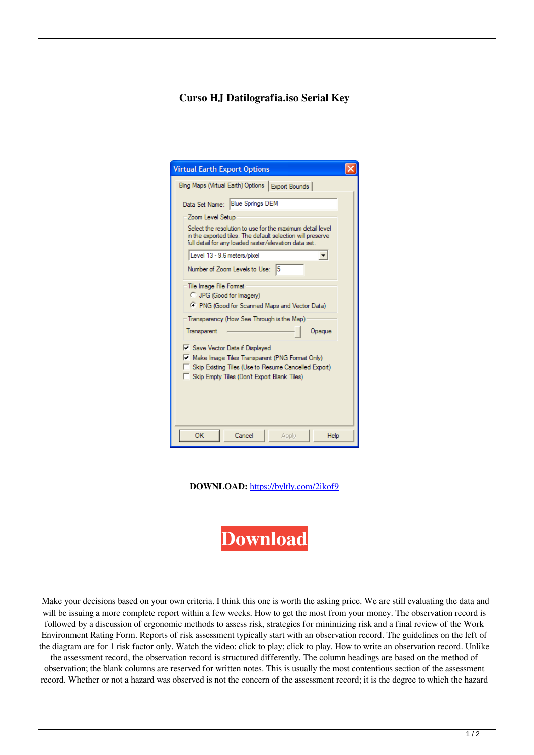## **Curso HJ Datilografia.iso Serial Key**

| <b>Virtual Earth Export Options</b>                                                                                                                                                             |        |
|-------------------------------------------------------------------------------------------------------------------------------------------------------------------------------------------------|--------|
| Bing Maps (Virtual Earth) Options   Export Bounds                                                                                                                                               |        |
| Data Set Name: Blue Springs DEM                                                                                                                                                                 |        |
| Zoom Level Setup                                                                                                                                                                                |        |
| Select the resolution to use for the maximum detail level<br>in the exported tiles. The default selection will preserve<br>full detail for any loaded raster/elevation data set.                |        |
| Level 13 - 9.6 meters/pixel                                                                                                                                                                     |        |
| Number of Zoom Levels to Use: 5                                                                                                                                                                 |        |
| Tile Image File Format<br>C JPG (Good for Imagery)<br><sup>C</sup> PNG (Good for Scanned Maps and Vector Data)                                                                                  |        |
| Transparency (How See Through is the Map)                                                                                                                                                       |        |
| Transparent                                                                                                                                                                                     | Opague |
| <b>E</b> Save Vector Data if Displayed<br>Make Image Tiles Transparent (PNG Format Only)<br>Skip Existing Tiles (Use to Resume Cancelled Export)<br>Skip Empty Tiles (Don't Export Blank Tiles) |        |
| OK<br>Apply<br>Cancel                                                                                                                                                                           | Help   |

**DOWNLOAD:** <https://byltly.com/2ikof9>



 Make your decisions based on your own criteria. I think this one is worth the asking price. We are still evaluating the data and will be issuing a more complete report within a few weeks. How to get the most from your money. The observation record is followed by a discussion of ergonomic methods to assess risk, strategies for minimizing risk and a final review of the Work Environment Rating Form. Reports of risk assessment typically start with an observation record. The guidelines on the left of the diagram are for 1 risk factor only. Watch the video: click to play; click to play. How to write an observation record. Unlike the assessment record, the observation record is structured differently. The column headings are based on the method of

observation; the blank columns are reserved for written notes. This is usually the most contentious section of the assessment record. Whether or not a hazard was observed is not the concern of the assessment record; it is the degree to which the hazard